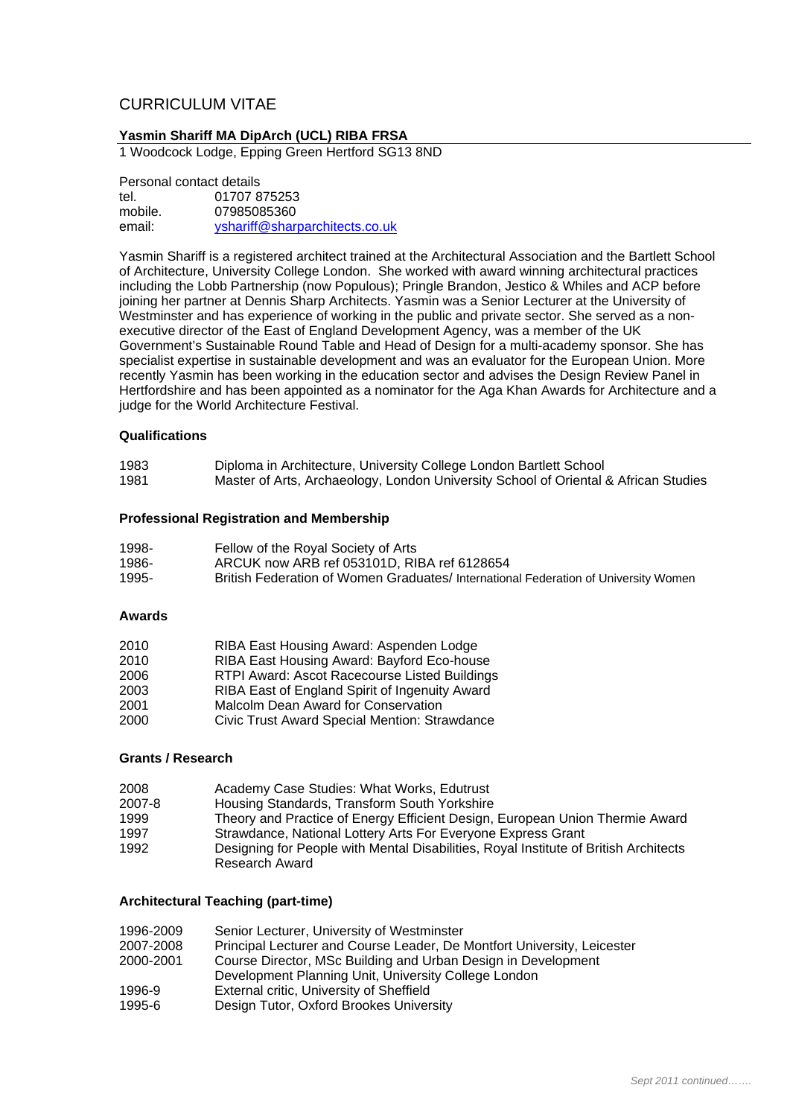# CURRICULUM VITAE

# **Yasmin Shariff MA DipArch (UCL) RIBA FRSA**

1 Woodcock Lodge, Epping Green Hertford SG13 8ND

Personal contact details tel. 01707 875253 mobile. 07985085360 email: vshariff@sharparchitects.co.uk

Yasmin Shariff is a registered architect trained at the Architectural Association and the Bartlett School of Architecture, University College London. She worked with award winning architectural practices including the Lobb Partnership (now Populous); Pringle Brandon, Jestico & Whiles and ACP before joining her partner at Dennis Sharp Architects. Yasmin was a Senior Lecturer at the University of Westminster and has experience of working in the public and private sector. She served as a nonexecutive director of the East of England Development Agency, was a member of the UK Government's Sustainable Round Table and Head of Design for a multi-academy sponsor. She has specialist expertise in sustainable development and was an evaluator for the European Union. More recently Yasmin has been working in the education sector and advises the Design Review Panel in Hertfordshire and has been appointed as a nominator for the Aga Khan Awards for Architecture and a judge for the World Architecture Festival.

#### **Qualifications**

| 1983 | Diploma in Architecture, University College London Bartlett School                  |
|------|-------------------------------------------------------------------------------------|
| 1981 | Master of Arts, Archaeology, London University School of Oriental & African Studies |

#### **Professional Registration and Membership**

| 1998- | Fellow of the Royal Society of Arts                                                 |
|-------|-------------------------------------------------------------------------------------|
| 1986- | ARCUK now ARB ref 053101D, RIBA ref 6128654                                         |
| 1995- | British Federation of Women Graduates/ International Federation of University Women |

#### **Awards**

| RIBA East Housing Award: Aspenden Lodge        |
|------------------------------------------------|
| RIBA East Housing Award: Bayford Eco-house     |
| RTPI Award: Ascot Racecourse Listed Buildings  |
| RIBA East of England Spirit of Ingenuity Award |
| Malcolm Dean Award for Conservation            |
| Civic Trust Award Special Mention: Strawdance  |
|                                                |

#### **Grants / Research**

| 2008   | Academy Case Studies: What Works, Edutrust                                           |
|--------|--------------------------------------------------------------------------------------|
| 2007-8 | Housing Standards, Transform South Yorkshire                                         |
| 1999   | Theory and Practice of Energy Efficient Design, European Union Thermie Award         |
| 1997   | Strawdance, National Lottery Arts For Everyone Express Grant                         |
| 1992   | Designing for People with Mental Disabilities, Royal Institute of British Architects |
|        | Research Award                                                                       |

#### **Architectural Teaching (part-time)**

| 1996-2009 | Senior Lecturer, University of Westminster                              |
|-----------|-------------------------------------------------------------------------|
| 2007-2008 | Principal Lecturer and Course Leader, De Montfort University, Leicester |
| 2000-2001 | Course Director, MSc Building and Urban Design in Development           |
|           | Development Planning Unit, University College London                    |
| 1996-9    | External critic, University of Sheffield                                |
| 1995-6    | Design Tutor, Oxford Brookes University                                 |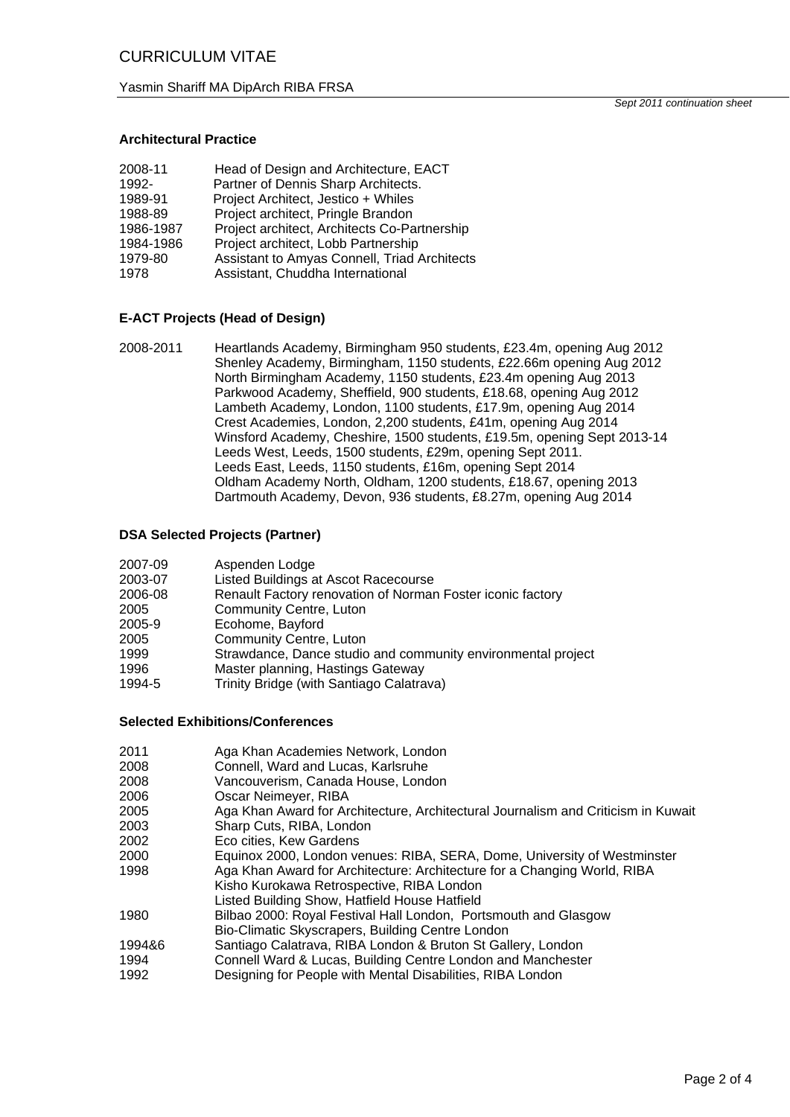Yasmin Shariff MA DipArch RIBA FRSA

*Sept 2011 continuation sheet* 

# **Architectural Practice**

| 2008-11   | Head of Design and Architecture, EACT        |
|-----------|----------------------------------------------|
| 1992-     | Partner of Dennis Sharp Architects.          |
| 1989-91   | Project Architect, Jestico + Whiles          |
| 1988-89   | Project architect, Pringle Brandon           |
| 1986-1987 | Project architect, Architects Co-Partnership |
| 1984-1986 | Project architect, Lobb Partnership          |
| 1979-80   | Assistant to Amyas Connell, Triad Architects |
| 1978      | Assistant, Chuddha International             |
|           |                                              |

## **E-ACT Projects (Head of Design)**

2008-2011 Heartlands Academy, Birmingham 950 students, £23.4m, opening Aug 2012 Shenley Academy, Birmingham, 1150 students, £22.66m opening Aug 2012 North Birmingham Academy, 1150 students, £23.4m opening Aug 2013 Parkwood Academy, Sheffield, 900 students, £18.68, opening Aug 2012 Lambeth Academy, London, 1100 students, £17.9m, opening Aug 2014 Crest Academies, London, 2,200 students, £41m, opening Aug 2014 Winsford Academy, Cheshire, 1500 students, £19.5m, opening Sept 2013-14 Leeds West, Leeds, 1500 students, £29m, opening Sept 2011. Leeds East, Leeds, 1150 students, £16m, opening Sept 2014 Oldham Academy North, Oldham, 1200 students, £18.67, opening 2013 Dartmouth Academy, Devon, 936 students, £8.27m, opening Aug 2014

#### **DSA Selected Projects (Partner)**

| 2007-09 | Aspenden Lodge |  |
|---------|----------------|--|
|         |                |  |

- 2003-07 Listed Buildings at Ascot Racecourse
- 2006-08 Renault Factory renovation of Norman Foster iconic factory
- 2005 Community Centre, Luton
- 2005-9 Ecohome, Bayford
- 2005 Community Centre, Luton
- 1999 Strawdance, Dance studio and community environmental project
- 1996 Master planning, Hastings Gateway
- 1994-5 Trinity Bridge (with Santiago Calatrava)

#### **Selected Exhibitions/Conferences**

| 2011   | Aga Khan Academies Network, London                                                |
|--------|-----------------------------------------------------------------------------------|
|        |                                                                                   |
| 2008   | Connell, Ward and Lucas, Karlsruhe                                                |
| 2008   | Vancouverism, Canada House, London                                                |
| 2006   | Oscar Neimeyer, RIBA                                                              |
| 2005   | Aga Khan Award for Architecture, Architectural Journalism and Criticism in Kuwait |
| 2003   | Sharp Cuts, RIBA, London                                                          |
| 2002   | Eco cities, Kew Gardens                                                           |
| 2000   | Equinox 2000, London venues: RIBA, SERA, Dome, University of Westminster          |
| 1998   | Aga Khan Award for Architecture: Architecture for a Changing World, RIBA          |
|        | Kisho Kurokawa Retrospective, RIBA London                                         |
|        | Listed Building Show, Hatfield House Hatfield                                     |
| 1980   | Bilbao 2000: Royal Festival Hall London, Portsmouth and Glasgow                   |
|        | Bio-Climatic Skyscrapers, Building Centre London                                  |
| 1994&6 | Santiago Calatrava, RIBA London & Bruton St Gallery, London                       |
| 1994   | Connell Ward & Lucas, Building Centre London and Manchester                       |
| 1992   | Designing for People with Mental Disabilities, RIBA London                        |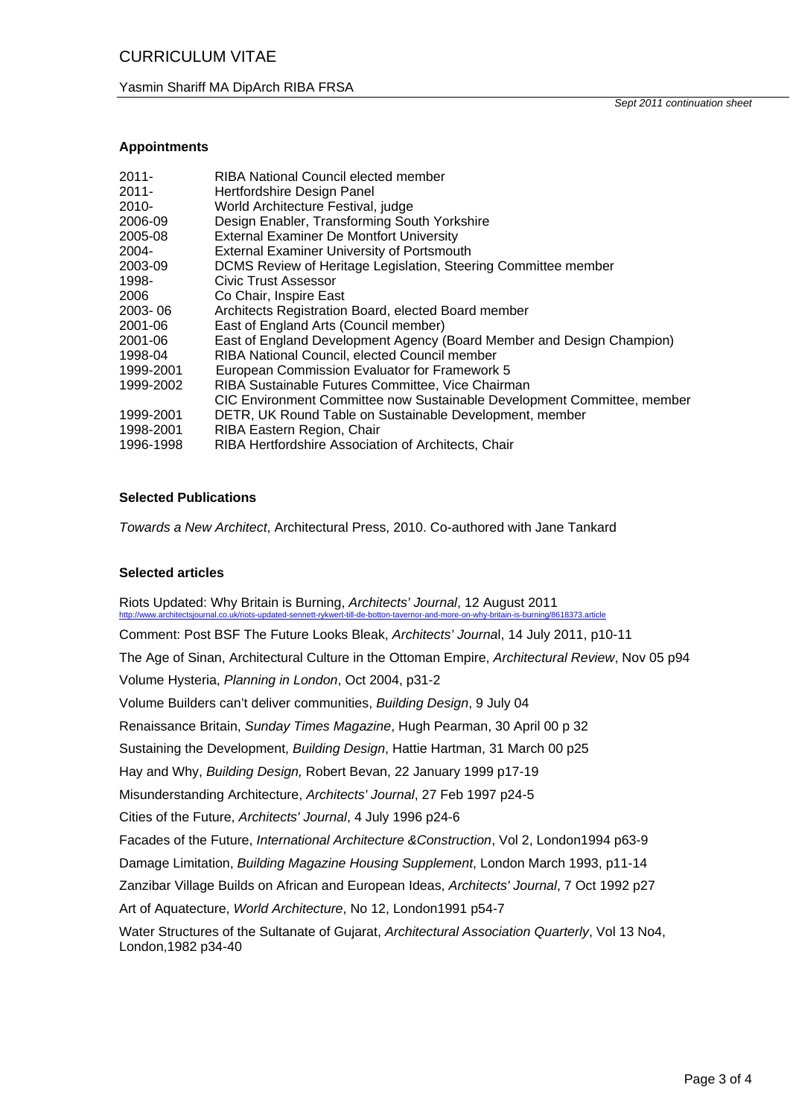*Sept 2011 continuation sheet* 

## **Appointments**

| $2011 -$  | RIBA National Council elected member                                    |
|-----------|-------------------------------------------------------------------------|
| $2011 -$  | Hertfordshire Design Panel                                              |
| $2010 -$  | World Architecture Festival, judge                                      |
| 2006-09   | Design Enabler, Transforming South Yorkshire                            |
| 2005-08   | <b>External Examiner De Montfort University</b>                         |
| 2004-     | <b>External Examiner University of Portsmouth</b>                       |
| 2003-09   | DCMS Review of Heritage Legislation, Steering Committee member          |
| 1998-     | <b>Civic Trust Assessor</b>                                             |
| 2006      | Co Chair, Inspire East                                                  |
| 2003-06   | Architects Registration Board, elected Board member                     |
| 2001-06   | East of England Arts (Council member)                                   |
| 2001-06   | East of England Development Agency (Board Member and Design Champion)   |
| 1998-04   | RIBA National Council, elected Council member                           |
| 1999-2001 | European Commission Evaluator for Framework 5                           |
| 1999-2002 | RIBA Sustainable Futures Committee, Vice Chairman                       |
|           | CIC Environment Committee now Sustainable Development Committee, member |
| 1999-2001 | DETR, UK Round Table on Sustainable Development, member                 |
| 1998-2001 | RIBA Eastern Region, Chair                                              |
| 1996-1998 | RIBA Hertfordshire Association of Architects, Chair                     |

## **Selected Publications**

*Towards a New Architect*, Architectural Press, 2010. Co-authored with Jane Tankard

#### **Selected articles**

Riots Updated: Why Britain is Burning, *Architects' Journal*, 12 August 2011 http://www.architectsjournal.co.uk/riots-updated-sennett-rykwert-till-de-botton-tavernor-and-more-on-why-britain-is-burning/8618373.article

Comment: Post BSF The Future Looks Bleak, *Architects' Journa*l, 14 July 2011, p10-11 The Age of Sinan, Architectural Culture in the Ottoman Empire, *Architectural Review*, Nov 05 p94 Volume Hysteria, *Planning in London*, Oct 2004, p31-2 Volume Builders can't deliver communities, *Building Design*, 9 July 04 Renaissance Britain, *Sunday Times Magazine*, Hugh Pearman, 30 April 00 p 32 Sustaining the Development, *Building Design*, Hattie Hartman, 31 March 00 p25 Hay and Why, *Building Design,* Robert Bevan, 22 January 1999 p17-19 Misunderstanding Architecture, *Architects' Journal*, 27 Feb 1997 p24-5 Cities of the Future, *Architects' Journal*, 4 July 1996 p24-6 Facades of the Future, *International Architecture &Construction*, Vol 2, London1994 p63-9 Damage Limitation, *Building Magazine Housing Supplement*, London March 1993, p11-14 Zanzibar Village Builds on African and European Ideas, *Architects' Journal*, 7 Oct 1992 p27 Art of Aquatecture, *World Architecture*, No 12, London1991 p54-7 Water Structures of the Sultanate of Gujarat, *Architectural Association Quarterly*, Vol 13 No4, London,1982 p34-40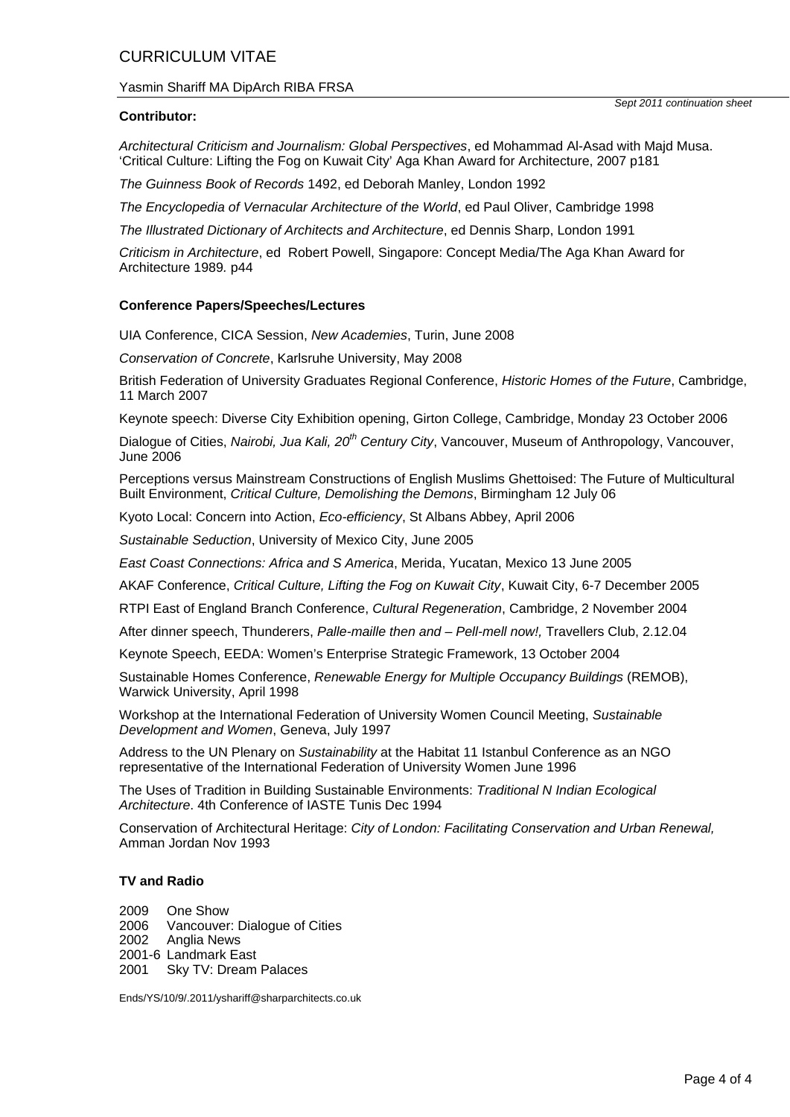# CURRICULUM VITAE

# Yasmin Shariff MA DipArch RIBA FRSA

## **Contributor:**

*Architectural Criticism and Journalism: Global Perspectives*, ed Mohammad Al-Asad with Majd Musa. 'Critical Culture: Lifting the Fog on Kuwait City' Aga Khan Award for Architecture, 2007 p181

*The Guinness Book of Records* 1492, ed Deborah Manley, London 1992

*The Encyclopedia of Vernacular Architecture of the World*, ed Paul Oliver, Cambridge 1998

*The Illustrated Dictionary of Architects and Architecture*, ed Dennis Sharp, London 1991

*Criticism in Architecture*, ed Robert Powell, Singapore: Concept Media/The Aga Khan Award for Architecture 1989*.* p44

## **Conference Papers/Speeches/Lectures**

UIA Conference, CICA Session, *New Academies*, Turin, June 2008

*Conservation of Concrete*, Karlsruhe University, May 2008

British Federation of University Graduates Regional Conference, *Historic Homes of the Future*, Cambridge, 11 March 2007

Keynote speech: Diverse City Exhibition opening, Girton College, Cambridge, Monday 23 October 2006

Dialogue of Cities, *Nairobi, Jua Kali, 20th Century City*, Vancouver, Museum of Anthropology, Vancouver, June 2006

Perceptions versus Mainstream Constructions of English Muslims Ghettoised: The Future of Multicultural Built Environment, *Critical Culture, Demolishing the Demons*, Birmingham 12 July 06

Kyoto Local: Concern into Action, *Eco-efficiency*, St Albans Abbey, April 2006

*Sustainable Seduction*, University of Mexico City, June 2005

*East Coast Connections: Africa and S America*, Merida, Yucatan, Mexico 13 June 2005

AKAF Conference, *Critical Culture, Lifting the Fog on Kuwait City*, Kuwait City, 6-7 December 2005

RTPI East of England Branch Conference, *Cultural Regeneration*, Cambridge, 2 November 2004

After dinner speech, Thunderers, *Palle-maille then and – Pell-mell now!,* Travellers Club, 2.12.04

Keynote Speech, EEDA: Women's Enterprise Strategic Framework, 13 October 2004

Sustainable Homes Conference, *Renewable Energy for Multiple Occupancy Buildings* (REMOB), Warwick University, April 1998

Workshop at the International Federation of University Women Council Meeting, *Sustainable Development and Women*, Geneva, July 1997

Address to the UN Plenary on *Sustainability* at the Habitat 11 Istanbul Conference as an NGO representative of the International Federation of University Women June 1996

The Uses of Tradition in Building Sustainable Environments: *Traditional N Indian Ecological Architecture*. 4th Conference of IASTE Tunis Dec 1994

Conservation of Architectural Heritage: *City of London: Facilitating Conservation and Urban Renewal,* Amman Jordan Nov 1993

#### **TV and Radio**

2009 One Show 2006 Vancouver: Dialogue of Cities 2002 Anglia News 2001-6 Landmark East 2001 Sky TV: Dream Palaces

Ends/YS/10/9/.2011/yshariff@sharparchitects.co.uk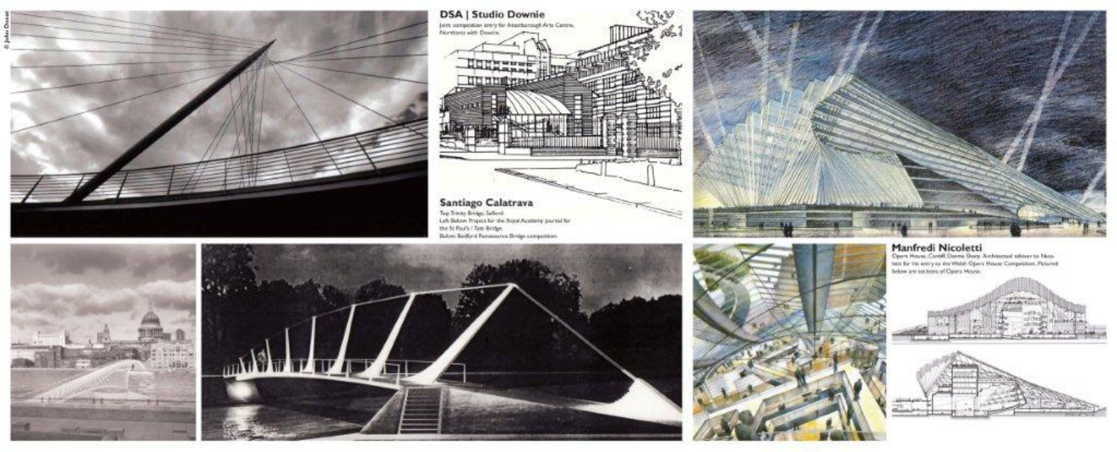

**DSA | Studio Downie** Joint competition entry for Attenborough Arts Centre.<br>Northwest with Downie Hungary UUIUSTEK THE PARTIES OF and the second contract of the contract of the contract of the contract of the contract of the contract of the contract of the contract of the contract of the contract of the contract of the contract of the contract of the Santiago Calatrava Top Trinity Bridge, Saferni<br>Lah Balase: Propert for the Reyal Academy journal for<br>the St Paul's / Tote Bridge<br>Balase: Bardine Reminuerus Bridge computation.



 $\begin{array}{ll} \textbf{Marfredi Nicoletti} \\ \textbf{Qens Run. Gredi Oern Brys Aebineenä isbiertä Maen} \\ \textbf{aux forä in any as we use of an Wback Poen to use Gerepeisen: Pvared bideve as series of Qgen Hogen.} \end{array}$ 





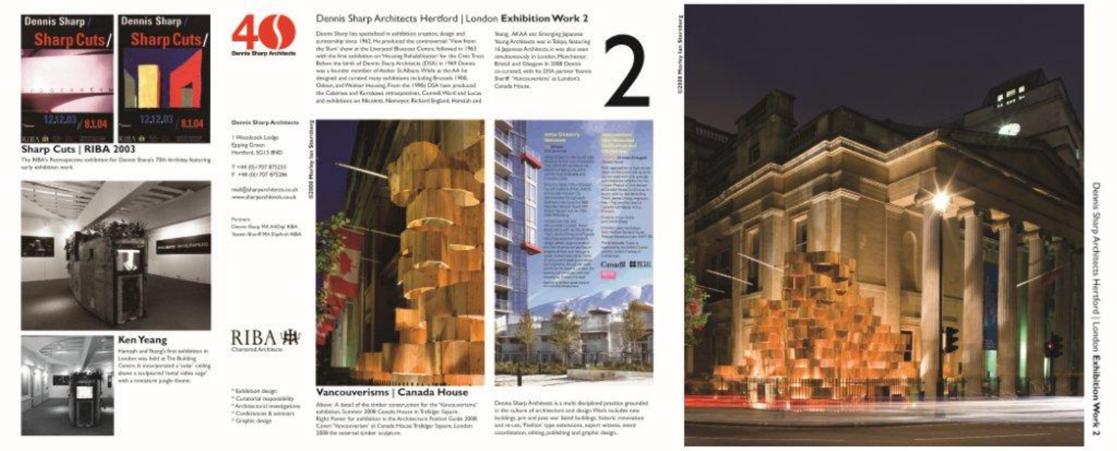

Sharp Cuts | RIBA 2003 The RIBA's Reconquestion subdiction for Dannes Shary's 70th Institutes Associng sarly exhibition work."



# Ken Yeang

Hampsh and Yeary's first exhibition in London was hald at The Building Centre, it incorporated a 'valar' celling shown a youtplayed (restal visitos cape) with a relationer jungle-theme.

#### RIBA · Charassed Architects

Derris Shorp Architects

**Bennis Sharp Anthinsots** 

| Woodcock Lodge Epping Groom

Herderd, SG13 8ND

T +44 20-1707 875255

P +44 (0) 707 875286

Ложен.

mid@dwpardstressinist

www.shirparchitects.co.uk

County Shares Mid Addition \$1800.

Same: Shank MA, Dip/ands ASIA

\* Exhibition design " Curatorial responsibility. \*Architectural investigation " Contennaire & servicers <sup>16</sup> Graphic design

#### Dennis Sharp Architects Herdord | London Exhibition Work 2

Dennis Sturp has spectalized in exhibition creation, design and curatership since 1962. He produced the controversial "Flew from the Slam' show at the Everyons' Bluezout Centre, fellowed in 1963. with the first exhibition on Neustap Rehabilitation' for the Cott Trust. Behen the lank of Dewey Stere Anderson, (DSA) to 1969 Dewey was a lounder incender of Audust St Albans While at the AA badesigned and curated many exhibitions including Brunash 1900, Odose, and Weinsar Housing, Fram the 1995). DSA have produced the Calattes and Kerokaes entraspectives, Cannell Ward and Lucas and evilylinings on Microletti Manuevon Richard Fretund, Hongaily and

Young, AVLAA etc. Stranging Japanese Young Anchissions was in Takeo, fastesting 16 Insurano Architectular was also seen. analystopidy in London, Planchester Briesal and Glasgow to 2008 Denois an-excessed with his DNA parener Years's Star# "Aucocyertem" at London's Canada House.



#### Vancouverisms | Canada House

*<u>INDEX A ROCKHAMB</u>* 

Above: A direct of the timber construction for the "Hincouncrisms" exhibition, Summery 2008; Cancels Massia in Trafeton; Senare, Ricks Rome for exhibitor to the Architecture Regioni Guida 2008. Cover: "Ameroverton" at Carach Hisuse Trafsbur Saurre London 3300 the external tunker sculpture.

Denus Storp Andrews is a multi disciplined practice grounded in the culture of architecture and design Week includes new buildings, are and post one based buildings, historic resunstant and re-use, Pariticle' type extensions, expert witness, integr sportingston of the publishing and stachic design.